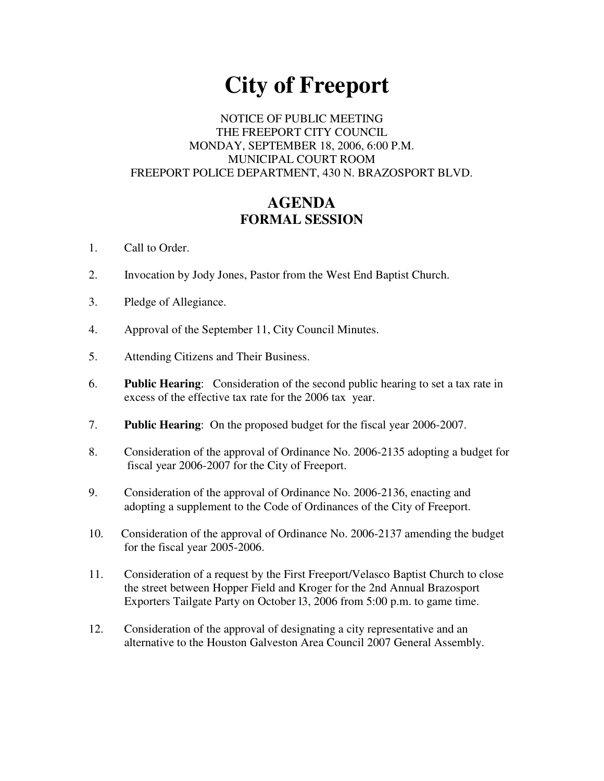# **City of Freeport**

## NOTICE OF PUBLIC MEETING THE FREEPORT CITY COUNCIL MONDAY, SEPTEMBER 18, 2006, 6:00 P.M. MUNICIPAL COURT ROOM FREEPORT POLICE DEPARTMENT, 430 N. BRAZOSPORT BLVD.

## **AGENDA FORMAL SESSION**

- 1. Call to Order.
- 2. Invocation by Jody Jones, Pastor from the West End Baptist Church.
- 3. Pledge of Allegiance.
- 4. Approval of the September 11, City Council Minutes.
- 5. Attending Citizens and Their Business.
- 6. **Public Hearing**: Consideration of the second public hearing to set a tax rate in excess of the effective tax rate for the 2006 tax year.
- 7. **Public Hearing**: On the proposed budget for the fiscal year 2006-2007.
- 8. Consideration of the approval of Ordinance No. 2006-2135 adopting a budget for fiscal year 2006-2007 for the City of Freeport.
- 9. Consideration of the approval of Ordinance No. 2006-2136, enacting and adopting a supplement to the Code of Ordinances of the City of Freeport.
- 10. Consideration of the approval of Ordinance No. 2006-2137 amending the budget for the fiscal year 2005-2006.
- 11. Consideration of a request by the First Freeport/Velasco Baptist Church to close the street between Hopper Field and Kroger for the 2nd Annual Brazosport Exporters Tailgate Party on October l3, 2006 from 5:00 p.m. to game time.
- 12. Consideration of the approval of designating a city representative and an alternative to the Houston Galveston Area Council 2007 General Assembly.